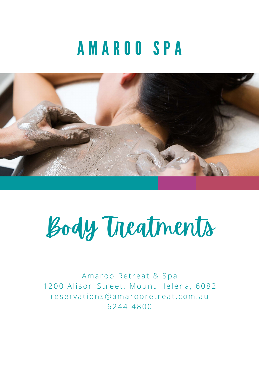# A M A R O O S P A





Amaroo Retreat & Spa 1200 Alison Street, Mount Helena, 6082 r e s e r v a t i o n s @ a m a r o o r e t r e a t . c o m . a u 6 2 4 4 4 8 0 0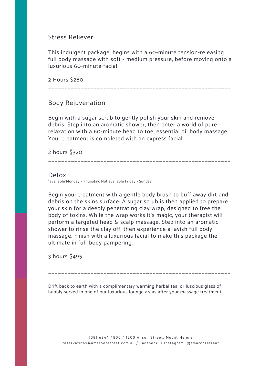Stress Reliever

This indulgent package, begins with a 60-minute tension-releasing full body massage with soft - medium pressure, before moving onto a luxurious 60-minute facial.

2 Hours \$280

\_\_\_\_\_\_\_\_\_\_\_\_\_\_\_\_\_\_\_\_\_\_\_\_\_\_\_\_\_\_\_\_\_\_\_\_\_\_\_\_\_\_\_\_\_\_\_\_\_\_\_\_\_\_\_\_

Body Rejuvenation

Begin with a sugar scrub to gently polish your skin and remove debris. Step into an aromatic shower, then enter a world of pure relaxation with a 60-minute head to toe, essential oil body massage. Your treatment is completed with an express facial.

2 hours \$320

\_\_\_\_\_\_\_\_\_\_\_\_\_\_\_\_\_\_\_\_\_\_\_\_\_\_\_\_\_\_\_\_\_\_\_\_\_\_\_\_\_\_\_\_\_\_\_\_\_\_\_\_\_\_\_\_

Detox \*available Monday - Thursday. Not available Friday - Sunday.

Begin your treatment with a gentle body brush to buff away dirt and debris on the skins surface. A sugar scrub is then applied to prepare your skin for a deeply penetrating clay wrap, designed to free the body of toxins. While the wrap works it's magic, your therapist will perform a targeted head & scalp massage. Step into an aromatic shower to rinse the clay off, then experience a lavish full body massage. Finish with a luxurious facial to make this package the ultimate in full-body pampering.

3 hours \$495

\_\_\_\_\_\_\_\_\_\_\_\_\_\_\_\_\_\_\_\_\_\_\_\_\_\_\_\_\_\_\_\_\_\_\_\_\_\_\_\_\_\_\_\_\_\_\_\_\_\_\_\_\_\_\_\_

(08) 6244 4800 / 1200 Alison Street, Mount Helena r e s e r v a tions @ a m a r o o r e t r e a t. c o m . a u / F a c e b o o k & Instagram: @ a m a r o o r e t r e a t

Drift back to earth with a complimentary warming herbal tea, or luscious glass of bubbly served in one of our luxurious lounge areas after your massage treatment.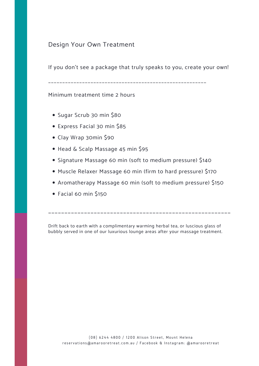- Sugar Scrub 30 min \$80
- Express Facial 30 min \$85
- Clay Wrap 30min \$90
- Head & Scalp Massage 45 min \$95
- Signature Massage 60 min (soft to medium pressure) \$140
- Muscle Relaxer Massage 60 min (firm to hard pressure) \$170
- Aromatherapy Massage 60 min (soft to medium pressure) \$150

Facial 60 min \$150

#### Design Your Own Treatment

If you don't see a package that truly speaks to you, create your own!

\_\_\_\_\_\_\_\_\_\_\_\_\_\_\_\_\_\_\_\_\_\_\_\_\_\_\_\_\_\_\_\_\_\_\_\_\_\_\_\_\_\_\_\_\_\_\_\_\_\_\_\_\_\_\_\_

Minimum treatment time 2 hours

\_\_\_\_\_\_\_\_\_\_\_\_\_\_\_\_\_\_\_\_\_\_\_\_\_\_\_\_\_\_\_\_\_\_\_\_\_\_\_\_\_\_\_\_\_\_\_\_\_\_\_\_\_\_\_\_

Drift back to earth with a complimentary warming herbal tea, or luscious glass of bubbly served in one of our luxurious lounge areas after your massage treatment.

(08) 6244 4800 / 1200 Alison Street, Mount Helena r e s e r v a tions @ a m a r o o r e t r e a t. c o m . a u / F a c e b o o k & Instagram: @ a m a r o o r e t r e a t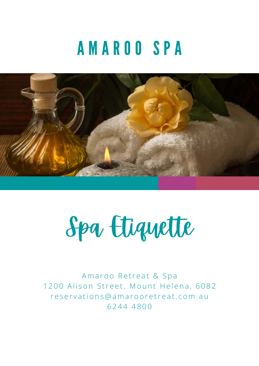# A M A R O O S P A





Amaroo Retreat & Spa 1200 Alison Street, Mount Helena, 6082 r e s e r v a t i o n s @ a m a r o o r e t r e a t . c o m . a u 6 2 4 4 4 8 0 0